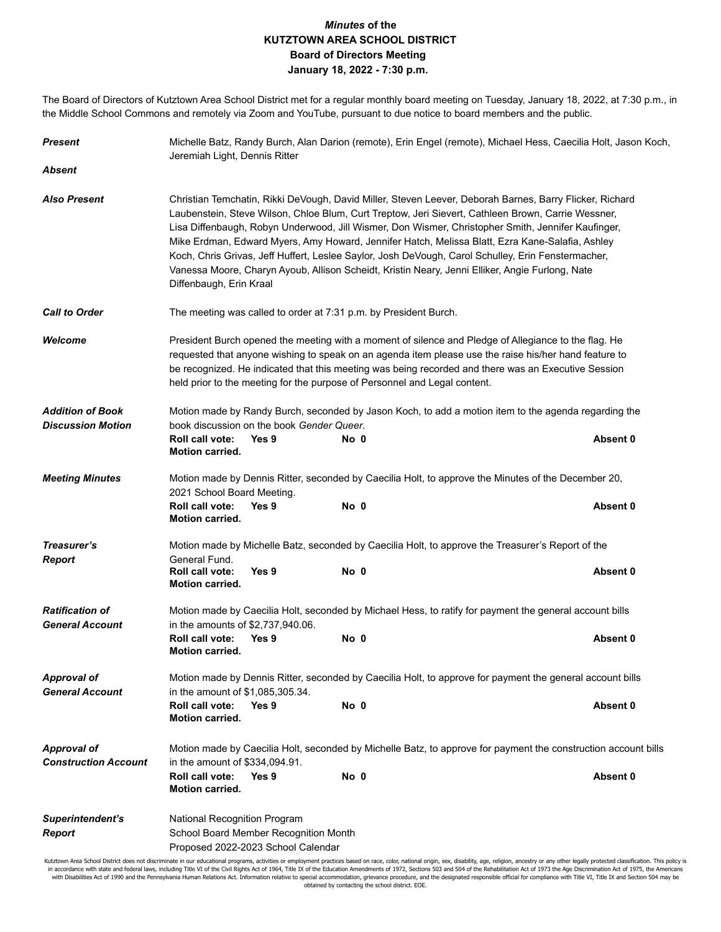## *Minutes* **of the KUTZTOWN AREA SCHOOL DISTRICT Board of Directors Meeting January 18, 2022 - 7:30 p.m.**

The Board of Directors of Kutztown Area School District met for a regular monthly board meeting on Tuesday, January 18, 2022, at 7:30 p.m., in the Middle School Commons and remotely via Zoom and YouTube, pursuant to due notice to board members and the public.

| <b>Present</b>                                      | Michelle Batz, Randy Burch, Alan Darion (remote), Erin Engel (remote), Michael Hess, Caecilia Holt, Jason Koch,<br>Jeremiah Light, Dennis Ritter                                                                                                                                                                                                                                                                                                                                                                                                                                                                                                           |                                                                             |                                                                                                                |          |  |  |
|-----------------------------------------------------|------------------------------------------------------------------------------------------------------------------------------------------------------------------------------------------------------------------------------------------------------------------------------------------------------------------------------------------------------------------------------------------------------------------------------------------------------------------------------------------------------------------------------------------------------------------------------------------------------------------------------------------------------------|-----------------------------------------------------------------------------|----------------------------------------------------------------------------------------------------------------|----------|--|--|
| <b>Absent</b>                                       |                                                                                                                                                                                                                                                                                                                                                                                                                                                                                                                                                                                                                                                            |                                                                             |                                                                                                                |          |  |  |
| <b>Also Present</b>                                 | Christian Temchatin, Rikki DeVough, David Miller, Steven Leever, Deborah Barnes, Barry Flicker, Richard<br>Laubenstein, Steve Wilson, Chloe Blum, Curt Treptow, Jeri Sievert, Cathleen Brown, Carrie Wessner,<br>Lisa Diffenbaugh, Robyn Underwood, Jill Wismer, Don Wismer, Christopher Smith, Jennifer Kaufinger,<br>Mike Erdman, Edward Myers, Amy Howard, Jennifer Hatch, Melissa Blatt, Ezra Kane-Salafia, Ashley<br>Koch, Chris Grivas, Jeff Huffert, Leslee Saylor, Josh DeVough, Carol Schulley, Erin Fenstermacher,<br>Vanessa Moore, Charyn Ayoub, Allison Scheidt, Kristin Neary, Jenni Elliker, Angie Furlong, Nate<br>Diffenbaugh, Erin Kraal |                                                                             |                                                                                                                |          |  |  |
| <b>Call to Order</b>                                | The meeting was called to order at 7:31 p.m. by President Burch.                                                                                                                                                                                                                                                                                                                                                                                                                                                                                                                                                                                           |                                                                             |                                                                                                                |          |  |  |
| Welcome                                             | President Burch opened the meeting with a moment of silence and Pledge of Allegiance to the flag. He<br>requested that anyone wishing to speak on an agenda item please use the raise his/her hand feature to<br>be recognized. He indicated that this meeting was being recorded and there was an Executive Session<br>held prior to the meeting for the purpose of Personnel and Legal content.                                                                                                                                                                                                                                                          |                                                                             |                                                                                                                |          |  |  |
| <b>Addition of Book</b><br><b>Discussion Motion</b> | Motion made by Randy Burch, seconded by Jason Koch, to add a motion item to the agenda regarding the<br>book discussion on the book Gender Queer.                                                                                                                                                                                                                                                                                                                                                                                                                                                                                                          |                                                                             |                                                                                                                |          |  |  |
|                                                     | Roll call vote:<br><b>Motion carried.</b>                                                                                                                                                                                                                                                                                                                                                                                                                                                                                                                                                                                                                  | Yes 9                                                                       | No 0                                                                                                           | Absent 0 |  |  |
| <b>Meeting Minutes</b>                              | 2021 School Board Meeting.<br>Roll call vote:                                                                                                                                                                                                                                                                                                                                                                                                                                                                                                                                                                                                              | Yes 9                                                                       | Motion made by Dennis Ritter, seconded by Caecilia Holt, to approve the Minutes of the December 20,<br>No 0    | Absent 0 |  |  |
|                                                     | <b>Motion carried.</b>                                                                                                                                                                                                                                                                                                                                                                                                                                                                                                                                                                                                                                     |                                                                             |                                                                                                                |          |  |  |
| Treasurer's<br><b>Report</b>                        | Motion made by Michelle Batz, seconded by Caecilia Holt, to approve the Treasurer's Report of the<br>General Fund.                                                                                                                                                                                                                                                                                                                                                                                                                                                                                                                                         |                                                                             |                                                                                                                |          |  |  |
|                                                     | Roll call vote:<br><b>Motion carried.</b>                                                                                                                                                                                                                                                                                                                                                                                                                                                                                                                                                                                                                  | Yes 9                                                                       | No 0                                                                                                           | Absent 0 |  |  |
| <b>Ratification of</b><br><b>General Account</b>    | Motion made by Caecilia Holt, seconded by Michael Hess, to ratify for payment the general account bills<br>in the amounts of \$2,737,940.06.                                                                                                                                                                                                                                                                                                                                                                                                                                                                                                               |                                                                             |                                                                                                                |          |  |  |
|                                                     | Roll call vote:<br><b>Motion carried.</b>                                                                                                                                                                                                                                                                                                                                                                                                                                                                                                                                                                                                                  | Yes 9                                                                       | No 0                                                                                                           | Absent 0 |  |  |
| Approval of<br><b>General Account</b>               | Motion made by Dennis Ritter, seconded by Caecilia Holt, to approve for payment the general account bills<br>in the amount of \$1,085,305.34.                                                                                                                                                                                                                                                                                                                                                                                                                                                                                                              |                                                                             |                                                                                                                |          |  |  |
|                                                     | Roll call vote:<br><b>Motion carried.</b>                                                                                                                                                                                                                                                                                                                                                                                                                                                                                                                                                                                                                  | Yes 9                                                                       | No 0                                                                                                           | Absent 0 |  |  |
| <b>Approval of</b><br><b>Construction Account</b>   | in the amount of \$334,094.91.                                                                                                                                                                                                                                                                                                                                                                                                                                                                                                                                                                                                                             |                                                                             | Motion made by Caecilia Holt, seconded by Michelle Batz, to approve for payment the construction account bills |          |  |  |
|                                                     | Roll call vote:<br><b>Motion carried.</b>                                                                                                                                                                                                                                                                                                                                                                                                                                                                                                                                                                                                                  | Yes 9                                                                       | No 0                                                                                                           | Absent 0 |  |  |
| Superintendent's<br><b>Report</b>                   | National Recognition Program                                                                                                                                                                                                                                                                                                                                                                                                                                                                                                                                                                                                                               | School Board Member Recognition Month<br>Proposed 2022-2023 School Calendar |                                                                                                                |          |  |  |

Kutztown Area School District does not discriminate in our educational programs, activities or employment practices based on race, color, national origin, sex, disability, age, religion, ancestry or any other legally prote in accordance with state and federal laws, including Title VI of the Civil Rights Act of 1964, Title IX of the Education Amendments of 1972, Sections 503 and 504 of the Rehabilitation Act of 1973 the Age Discrimination Act obtained by contacting the school district. EOE.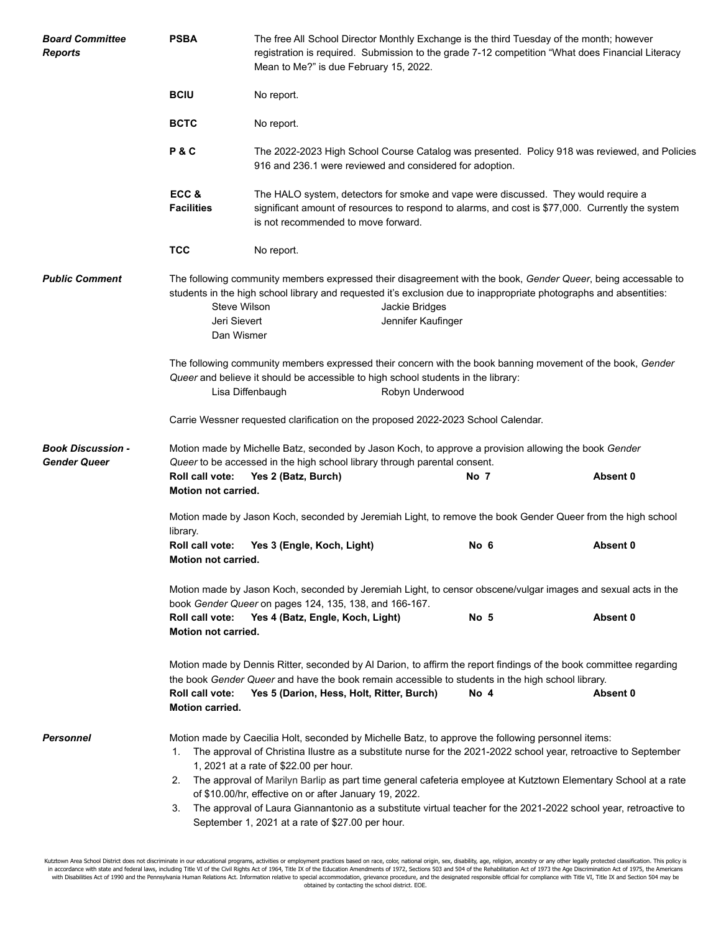| <b>Board Committee</b><br><b>Reports</b>        | <b>PSBA</b>                                                                                                                                                                                                                                                                                                                    | The free All School Director Monthly Exchange is the third Tuesday of the month; however<br>registration is required. Submission to the grade 7-12 competition "What does Financial Literacy<br>Mean to Me?" is due February 15, 2022.                                                                                                                                                                                                                                                                                                                                                                                 |                                                                                                                                                                                                                                                                             |      |          |  |  |
|-------------------------------------------------|--------------------------------------------------------------------------------------------------------------------------------------------------------------------------------------------------------------------------------------------------------------------------------------------------------------------------------|------------------------------------------------------------------------------------------------------------------------------------------------------------------------------------------------------------------------------------------------------------------------------------------------------------------------------------------------------------------------------------------------------------------------------------------------------------------------------------------------------------------------------------------------------------------------------------------------------------------------|-----------------------------------------------------------------------------------------------------------------------------------------------------------------------------------------------------------------------------------------------------------------------------|------|----------|--|--|
|                                                 | <b>BCIU</b>                                                                                                                                                                                                                                                                                                                    | No report.                                                                                                                                                                                                                                                                                                                                                                                                                                                                                                                                                                                                             |                                                                                                                                                                                                                                                                             |      |          |  |  |
|                                                 | <b>BCTC</b>                                                                                                                                                                                                                                                                                                                    | No report.                                                                                                                                                                                                                                                                                                                                                                                                                                                                                                                                                                                                             |                                                                                                                                                                                                                                                                             |      |          |  |  |
|                                                 | P&C                                                                                                                                                                                                                                                                                                                            | The 2022-2023 High School Course Catalog was presented. Policy 918 was reviewed, and Policies<br>916 and 236.1 were reviewed and considered for adoption.                                                                                                                                                                                                                                                                                                                                                                                                                                                              |                                                                                                                                                                                                                                                                             |      |          |  |  |
|                                                 | ECC&<br><b>Facilities</b>                                                                                                                                                                                                                                                                                                      | The HALO system, detectors for smoke and vape were discussed. They would require a<br>significant amount of resources to respond to alarms, and cost is \$77,000. Currently the system<br>is not recommended to move forward.                                                                                                                                                                                                                                                                                                                                                                                          |                                                                                                                                                                                                                                                                             |      |          |  |  |
|                                                 | <b>TCC</b>                                                                                                                                                                                                                                                                                                                     | No report.                                                                                                                                                                                                                                                                                                                                                                                                                                                                                                                                                                                                             |                                                                                                                                                                                                                                                                             |      |          |  |  |
| <b>Public Comment</b>                           | Steve Wilson<br>Jeri Sievert<br>Dan Wismer                                                                                                                                                                                                                                                                                     |                                                                                                                                                                                                                                                                                                                                                                                                                                                                                                                                                                                                                        | The following community members expressed their disagreement with the book, Gender Queer, being accessable to<br>students in the high school library and requested it's exclusion due to inappropriate photographs and absentities:<br>Jackie Bridges<br>Jennifer Kaufinger |      |          |  |  |
|                                                 | The following community members expressed their concern with the book banning movement of the book, Gender<br>Queer and believe it should be accessible to high school students in the library:<br>Lisa Diffenbaugh<br>Robyn Underwood                                                                                         |                                                                                                                                                                                                                                                                                                                                                                                                                                                                                                                                                                                                                        |                                                                                                                                                                                                                                                                             |      |          |  |  |
|                                                 | Carrie Wessner requested clarification on the proposed 2022-2023 School Calendar.                                                                                                                                                                                                                                              |                                                                                                                                                                                                                                                                                                                                                                                                                                                                                                                                                                                                                        |                                                                                                                                                                                                                                                                             |      |          |  |  |
| <b>Book Discussion -</b><br><b>Gender Queer</b> | Motion made by Michelle Batz, seconded by Jason Koch, to approve a provision allowing the book Gender<br>Queer to be accessed in the high school library through parental consent.                                                                                                                                             |                                                                                                                                                                                                                                                                                                                                                                                                                                                                                                                                                                                                                        |                                                                                                                                                                                                                                                                             |      |          |  |  |
|                                                 | No 7<br>Roll call vote:<br>Yes 2 (Batz, Burch)<br>Absent 0<br>Motion not carried.                                                                                                                                                                                                                                              |                                                                                                                                                                                                                                                                                                                                                                                                                                                                                                                                                                                                                        |                                                                                                                                                                                                                                                                             |      |          |  |  |
|                                                 | Motion made by Jason Koch, seconded by Jeremiah Light, to remove the book Gender Queer from the high school<br>library.                                                                                                                                                                                                        |                                                                                                                                                                                                                                                                                                                                                                                                                                                                                                                                                                                                                        |                                                                                                                                                                                                                                                                             |      |          |  |  |
|                                                 | Motion not carried.                                                                                                                                                                                                                                                                                                            | Roll call vote: Yes 3 (Engle, Koch, Light)                                                                                                                                                                                                                                                                                                                                                                                                                                                                                                                                                                             |                                                                                                                                                                                                                                                                             | No 6 | Absent 0 |  |  |
|                                                 | Motion made by Jason Koch, seconded by Jeremiah Light, to censor obscene/vulgar images and sexual acts in the<br>book Gender Queer on pages 124, 135, 138, and 166-167.                                                                                                                                                        |                                                                                                                                                                                                                                                                                                                                                                                                                                                                                                                                                                                                                        |                                                                                                                                                                                                                                                                             |      |          |  |  |
|                                                 | Roll call vote:<br>Motion not carried.                                                                                                                                                                                                                                                                                         | Yes 4 (Batz, Engle, Koch, Light)                                                                                                                                                                                                                                                                                                                                                                                                                                                                                                                                                                                       |                                                                                                                                                                                                                                                                             | No 5 | Absent 0 |  |  |
|                                                 | Motion made by Dennis Ritter, seconded by Al Darion, to affirm the report findings of the book committee regarding<br>the book Gender Queer and have the book remain accessible to students in the high school library.<br>Roll call vote:<br>Yes 5 (Darion, Hess, Holt, Ritter, Burch)<br>No 4<br>Absent 0<br>Motion carried. |                                                                                                                                                                                                                                                                                                                                                                                                                                                                                                                                                                                                                        |                                                                                                                                                                                                                                                                             |      |          |  |  |
| Personnel                                       | 1.<br>3.                                                                                                                                                                                                                                                                                                                       | Motion made by Caecilia Holt, seconded by Michelle Batz, to approve the following personnel items:<br>The approval of Christina Ilustre as a substitute nurse for the 2021-2022 school year, retroactive to September<br>1, 2021 at a rate of \$22.00 per hour.<br>2. The approval of Marilyn Barlip as part time general cafeteria employee at Kutztown Elementary School at a rate<br>of \$10.00/hr, effective on or after January 19, 2022.<br>The approval of Laura Giannantonio as a substitute virtual teacher for the 2021-2022 school year, retroactive to<br>September 1, 2021 at a rate of \$27.00 per hour. |                                                                                                                                                                                                                                                                             |      |          |  |  |

Kutztown Area School District does not discriminate in our educational programs, activities or employment practices based on race, color, national origin, sex, disability, age, religion, ancestry or any other legally prote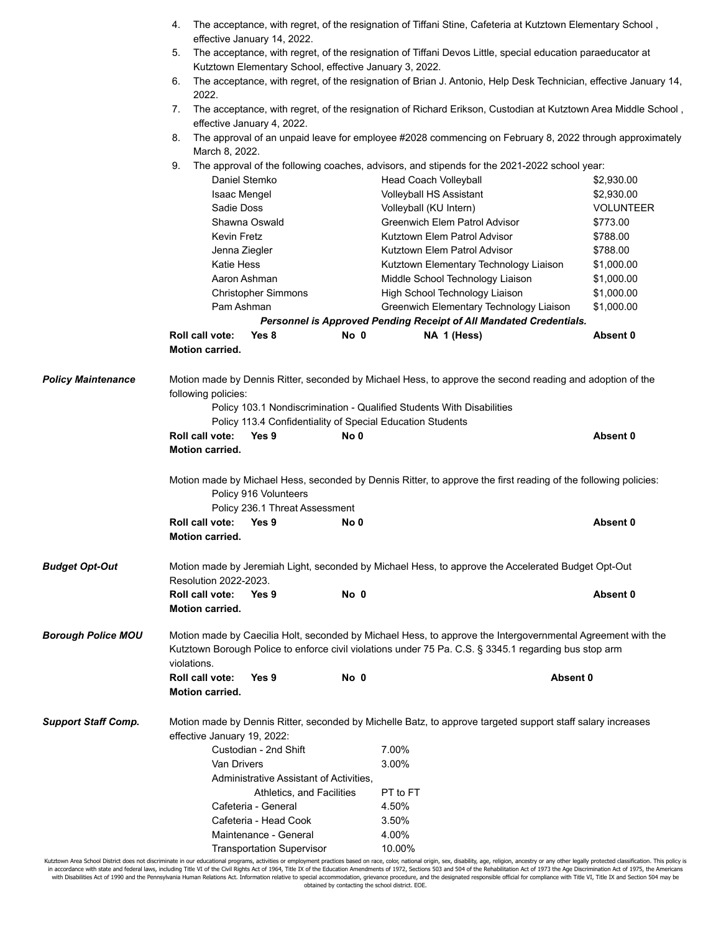|                            | 4.                                                                                                                                                                                                                                  | effective January 14, 2022.                                                                                                                             |      | The acceptance, with regret, of the resignation of Tiffani Stine, Cafeteria at Kutztown Elementary School,       |                  |  |  |  |
|----------------------------|-------------------------------------------------------------------------------------------------------------------------------------------------------------------------------------------------------------------------------------|---------------------------------------------------------------------------------------------------------------------------------------------------------|------|------------------------------------------------------------------------------------------------------------------|------------------|--|--|--|
|                            | 5.<br>The acceptance, with regret, of the resignation of Tiffani Devos Little, special education paraeducator at<br>Kutztown Elementary School, effective January 3, 2022.                                                          |                                                                                                                                                         |      |                                                                                                                  |                  |  |  |  |
|                            | 6.<br>2022.                                                                                                                                                                                                                         |                                                                                                                                                         |      | The acceptance, with regret, of the resignation of Brian J. Antonio, Help Desk Technician, effective January 14, |                  |  |  |  |
|                            | 7.                                                                                                                                                                                                                                  |                                                                                                                                                         |      | The acceptance, with regret, of the resignation of Richard Erikson, Custodian at Kutztown Area Middle School,    |                  |  |  |  |
|                            | 8.                                                                                                                                                                                                                                  | effective January 4, 2022.<br>The approval of an unpaid leave for employee #2028 commencing on February 8, 2022 through approximately<br>March 8, 2022. |      |                                                                                                                  |                  |  |  |  |
|                            | 9.                                                                                                                                                                                                                                  |                                                                                                                                                         |      | The approval of the following coaches, advisors, and stipends for the 2021-2022 school year:                     |                  |  |  |  |
|                            | Daniel Stemko                                                                                                                                                                                                                       |                                                                                                                                                         |      | <b>Head Coach Volleyball</b>                                                                                     | \$2,930.00       |  |  |  |
|                            | <b>Isaac Mengel</b>                                                                                                                                                                                                                 |                                                                                                                                                         |      | Volleyball HS Assistant                                                                                          | \$2,930.00       |  |  |  |
|                            | Sadie Doss                                                                                                                                                                                                                          |                                                                                                                                                         |      | Volleyball (KU Intern)                                                                                           | <b>VOLUNTEER</b> |  |  |  |
|                            |                                                                                                                                                                                                                                     | Shawna Oswald                                                                                                                                           |      | Greenwich Elem Patrol Advisor                                                                                    | \$773.00         |  |  |  |
|                            | <b>Kevin Fretz</b>                                                                                                                                                                                                                  |                                                                                                                                                         |      | Kutztown Elem Patrol Advisor                                                                                     | \$788.00         |  |  |  |
|                            | Jenna Ziegler                                                                                                                                                                                                                       |                                                                                                                                                         |      | Kutztown Elem Patrol Advisor                                                                                     | \$788.00         |  |  |  |
|                            | <b>Katie Hess</b>                                                                                                                                                                                                                   |                                                                                                                                                         |      | Kutztown Elementary Technology Liaison                                                                           | \$1,000.00       |  |  |  |
|                            | Aaron Ashman                                                                                                                                                                                                                        |                                                                                                                                                         |      | Middle School Technology Liaison                                                                                 | \$1,000.00       |  |  |  |
|                            |                                                                                                                                                                                                                                     | Christopher Simmons                                                                                                                                     |      | High School Technology Liaison                                                                                   | \$1,000.00       |  |  |  |
|                            | Pam Ashman                                                                                                                                                                                                                          |                                                                                                                                                         |      | Greenwich Elementary Technology Liaison                                                                          | \$1,000.00       |  |  |  |
|                            |                                                                                                                                                                                                                                     |                                                                                                                                                         |      | Personnel is Approved Pending Receipt of All Mandated Credentials.                                               |                  |  |  |  |
|                            | <b>Roll call vote:</b>                                                                                                                                                                                                              | Yes 8                                                                                                                                                   | No 0 | NA 1 (Hess)                                                                                                      | Absent 0         |  |  |  |
|                            | <b>Motion carried.</b>                                                                                                                                                                                                              |                                                                                                                                                         |      |                                                                                                                  |                  |  |  |  |
| <b>Policy Maintenance</b>  | Motion made by Dennis Ritter, seconded by Michael Hess, to approve the second reading and adoption of the<br>following policies:                                                                                                    |                                                                                                                                                         |      |                                                                                                                  |                  |  |  |  |
|                            |                                                                                                                                                                                                                                     |                                                                                                                                                         |      | Policy 103.1 Nondiscrimination - Qualified Students With Disabilities                                            |                  |  |  |  |
|                            |                                                                                                                                                                                                                                     |                                                                                                                                                         |      | Policy 113.4 Confidentiality of Special Education Students                                                       |                  |  |  |  |
|                            | <b>Roll call vote:</b><br><b>Motion carried.</b>                                                                                                                                                                                    | Yes 9                                                                                                                                                   | No 0 |                                                                                                                  | Absent 0         |  |  |  |
|                            | Motion made by Michael Hess, seconded by Dennis Ritter, to approve the first reading of the following policies:<br>Policy 916 Volunteers                                                                                            |                                                                                                                                                         |      |                                                                                                                  |                  |  |  |  |
|                            |                                                                                                                                                                                                                                     | Policy 236.1 Threat Assessment                                                                                                                          |      |                                                                                                                  |                  |  |  |  |
|                            | Roll call vote:<br><b>Motion carried.</b>                                                                                                                                                                                           | Yes 9                                                                                                                                                   | No 0 |                                                                                                                  | Absent 0         |  |  |  |
| <b>Budget Opt-Out</b>      | Motion made by Jeremiah Light, seconded by Michael Hess, to approve the Accelerated Budget Opt-Out<br>Resolution 2022-2023.                                                                                                         |                                                                                                                                                         |      |                                                                                                                  |                  |  |  |  |
|                            | <b>Roll call vote:</b><br><b>Motion carried.</b>                                                                                                                                                                                    | Yes 9                                                                                                                                                   | No 0 |                                                                                                                  | Absent 0         |  |  |  |
|                            |                                                                                                                                                                                                                                     |                                                                                                                                                         |      |                                                                                                                  |                  |  |  |  |
| <b>Borough Police MOU</b>  | Motion made by Caecilia Holt, seconded by Michael Hess, to approve the Intergovernmental Agreement with the<br>Kutztown Borough Police to enforce civil violations under 75 Pa. C.S. § 3345.1 regarding bus stop arm<br>violations. |                                                                                                                                                         |      |                                                                                                                  |                  |  |  |  |
|                            | <b>Roll call vote:</b>                                                                                                                                                                                                              | Yes 9                                                                                                                                                   | No 0 |                                                                                                                  | Absent 0         |  |  |  |
|                            | <b>Motion carried.</b>                                                                                                                                                                                                              |                                                                                                                                                         |      |                                                                                                                  |                  |  |  |  |
| <b>Support Staff Comp.</b> | Motion made by Dennis Ritter, seconded by Michelle Batz, to approve targeted support staff salary increases<br>effective January 19, 2022:                                                                                          |                                                                                                                                                         |      |                                                                                                                  |                  |  |  |  |
|                            |                                                                                                                                                                                                                                     | Custodian - 2nd Shift                                                                                                                                   |      | 7.00%                                                                                                            |                  |  |  |  |
|                            |                                                                                                                                                                                                                                     |                                                                                                                                                         |      |                                                                                                                  |                  |  |  |  |
|                            | <b>Van Drivers</b>                                                                                                                                                                                                                  |                                                                                                                                                         |      | 3.00%                                                                                                            |                  |  |  |  |
|                            |                                                                                                                                                                                                                                     | Administrative Assistant of Activities.                                                                                                                 |      |                                                                                                                  |                  |  |  |  |
|                            |                                                                                                                                                                                                                                     | Athletics, and Facilities                                                                                                                               |      | PT to FT                                                                                                         |                  |  |  |  |
|                            |                                                                                                                                                                                                                                     | Cafeteria - General                                                                                                                                     |      | 4.50%                                                                                                            |                  |  |  |  |
|                            |                                                                                                                                                                                                                                     | Cafeteria - Head Cook                                                                                                                                   |      | 3.50%                                                                                                            |                  |  |  |  |
|                            |                                                                                                                                                                                                                                     | Maintenance - General                                                                                                                                   |      | 4.00%                                                                                                            |                  |  |  |  |
|                            |                                                                                                                                                                                                                                     | <b>Transportation Supervisor</b>                                                                                                                        |      | 10.00%                                                                                                           |                  |  |  |  |

Kutztown Area School District does not discriminate in our educational programs, activities or employment practices based on race, color, national origin, sex, disability, age, religion, ancestry or any other legally prote